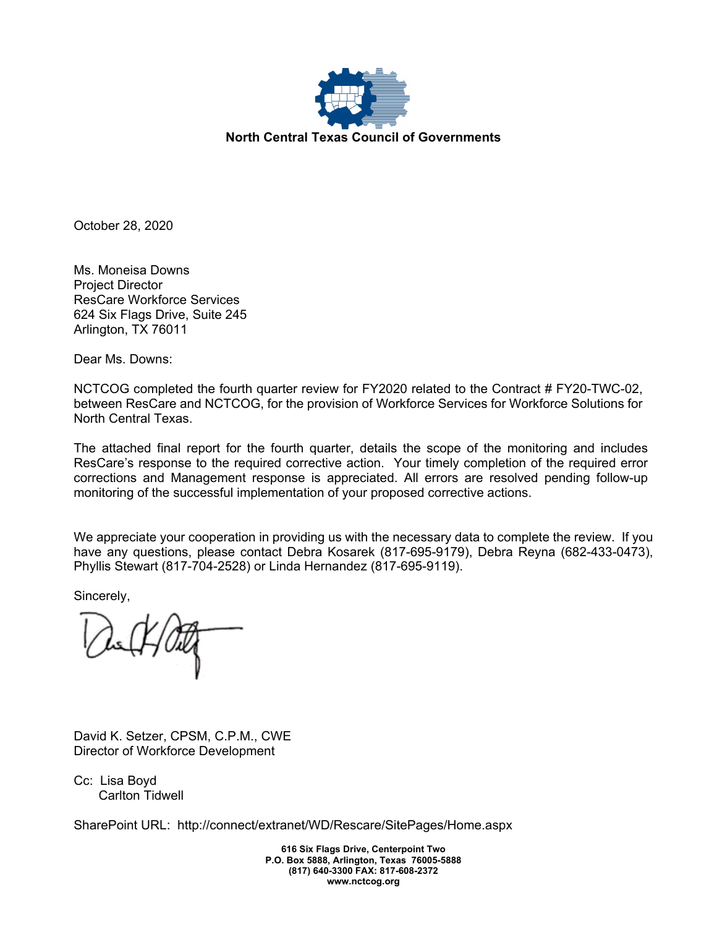

October 28, 2020

Ms. Moneisa Downs Project Director ResCare Workforce Services 624 Six Flags Drive, Suite 245 Arlington, TX 76011

Dear Ms. Downs:

NCTCOG completed the fourth quarter review for FY2020 related to the Contract # FY20-TWC-02, between ResCare and NCTCOG, for the provision of Workforce Services for Workforce Solutions for North Central Texas.

The attached final report for the fourth quarter, details the scope of the monitoring and includes ResCare's response to the required corrective action. Your timely completion of the required error corrections and Management response is appreciated. All errors are resolved pending follow-up monitoring of the successful implementation of your proposed corrective actions.

We appreciate your cooperation in providing us with the necessary data to complete the review. If you have any questions, please contact Debra Kosarek (817-695-9179), Debra Reyna (682-433-0473), Phyllis Stewart (817-704-2528) or Linda Hernandez (817-695-9119).

Sincerely,

David K. Setzer, CPSM, C.P.M., CWE Director of Workforce Development

Cc: Lisa Boyd Carlton Tidwell

SharePoint URL: http://connect/extranet/WD/Rescare/SitePages/Home.aspx

**616 Six Flags Drive, Centerpoint Two P.O. Box 5888, Arlington, Texas 76005-5888 (817) 640-3300 FAX: 817-608-2372 www.nctcog.org**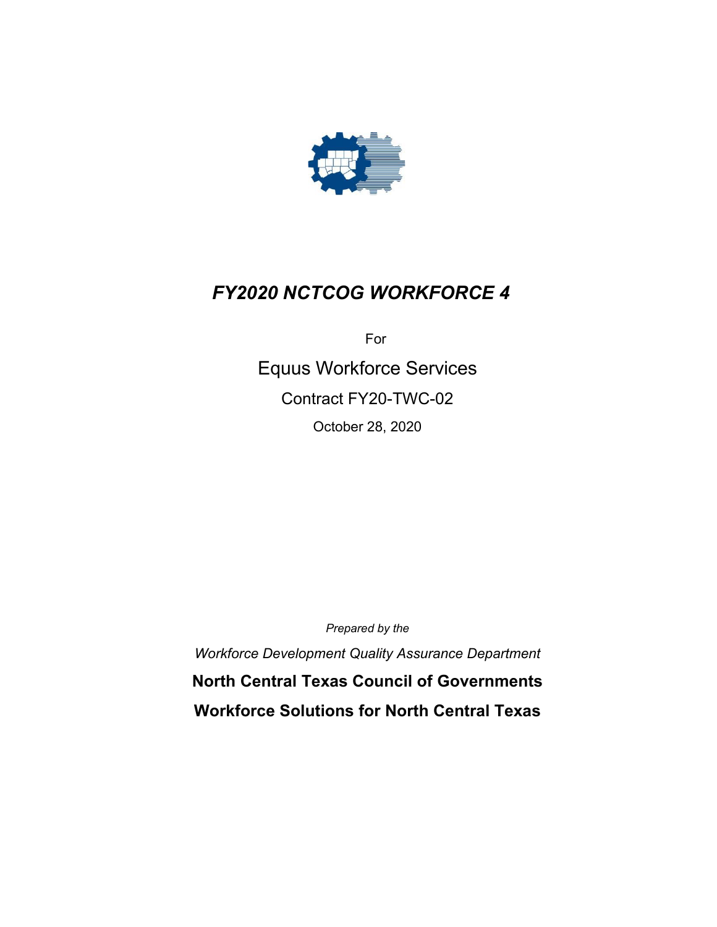

# *FY2020 NCTCOG WORKFORCE 4*

For

Equus Workforce Services Contract FY20-TWC-02 October 28, 2020

*Prepared by the*

*Workforce Development Quality Assurance Department* **North Central Texas Council of Governments Workforce Solutions for North Central Texas**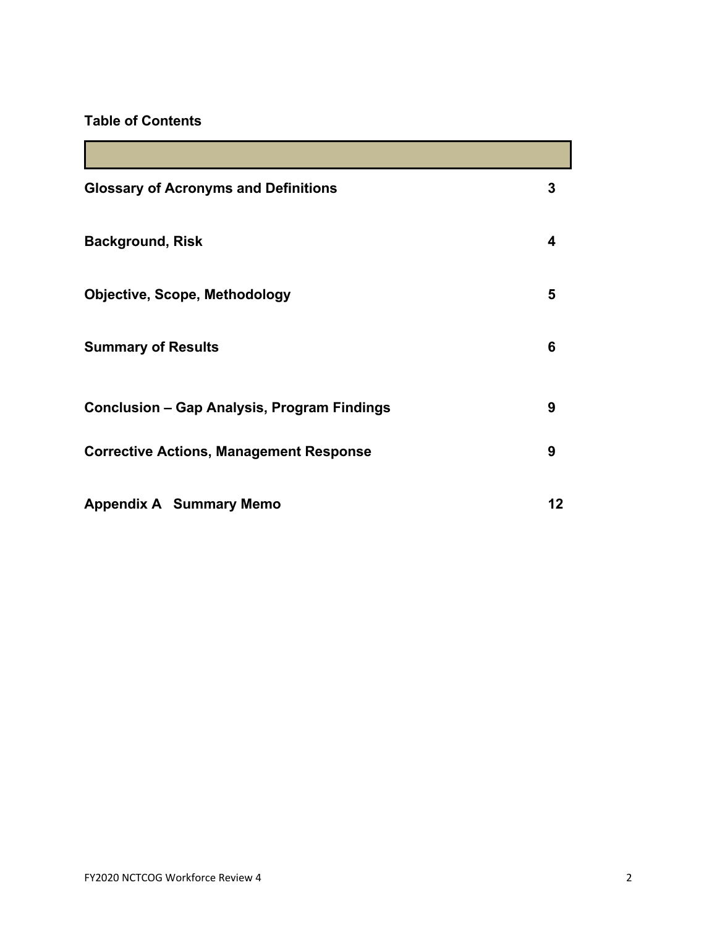## **Table of Contents**

| <b>Glossary of Acronyms and Definitions</b>    | 3  |
|------------------------------------------------|----|
| <b>Background, Risk</b>                        | 4  |
| <b>Objective, Scope, Methodology</b>           | 5  |
| <b>Summary of Results</b>                      | 6  |
| Conclusion - Gap Analysis, Program Findings    | 9  |
| <b>Corrective Actions, Management Response</b> | 9  |
| <b>Appendix A Summary Memo</b>                 | 12 |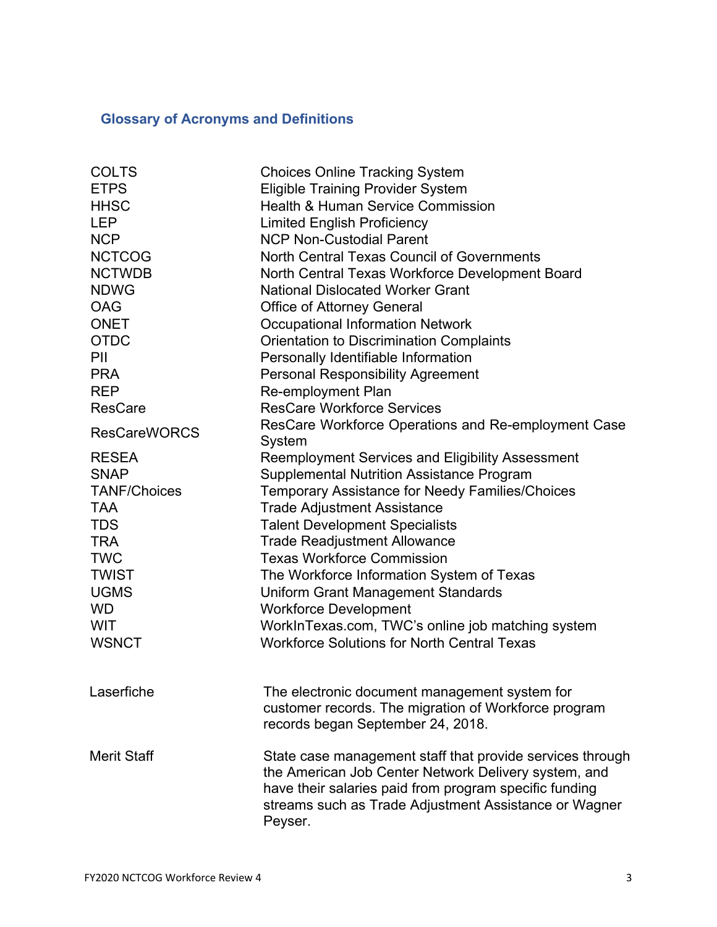# **Glossary of Acronyms and Definitions**

| <b>COLTS</b>        | <b>Choices Online Tracking System</b>                                                                                                                                                                                                           |  |  |  |  |
|---------------------|-------------------------------------------------------------------------------------------------------------------------------------------------------------------------------------------------------------------------------------------------|--|--|--|--|
| <b>ETPS</b>         | <b>Eligible Training Provider System</b>                                                                                                                                                                                                        |  |  |  |  |
| <b>HHSC</b>         | <b>Health &amp; Human Service Commission</b>                                                                                                                                                                                                    |  |  |  |  |
| <b>LEP</b>          | <b>Limited English Proficiency</b>                                                                                                                                                                                                              |  |  |  |  |
| <b>NCP</b>          | <b>NCP Non-Custodial Parent</b>                                                                                                                                                                                                                 |  |  |  |  |
| <b>NCTCOG</b>       | North Central Texas Council of Governments                                                                                                                                                                                                      |  |  |  |  |
| <b>NCTWDB</b>       | North Central Texas Workforce Development Board                                                                                                                                                                                                 |  |  |  |  |
| <b>NDWG</b>         | <b>National Dislocated Worker Grant</b>                                                                                                                                                                                                         |  |  |  |  |
| <b>OAG</b>          | <b>Office of Attorney General</b>                                                                                                                                                                                                               |  |  |  |  |
| <b>ONET</b>         | <b>Occupational Information Network</b>                                                                                                                                                                                                         |  |  |  |  |
| <b>OTDC</b>         | <b>Orientation to Discrimination Complaints</b>                                                                                                                                                                                                 |  |  |  |  |
| PII                 | Personally Identifiable Information                                                                                                                                                                                                             |  |  |  |  |
| <b>PRA</b>          | <b>Personal Responsibility Agreement</b>                                                                                                                                                                                                        |  |  |  |  |
| <b>REP</b>          | <b>Re-employment Plan</b>                                                                                                                                                                                                                       |  |  |  |  |
| <b>ResCare</b>      | <b>ResCare Workforce Services</b>                                                                                                                                                                                                               |  |  |  |  |
|                     | ResCare Workforce Operations and Re-employment Case                                                                                                                                                                                             |  |  |  |  |
| <b>ResCareWORCS</b> | System                                                                                                                                                                                                                                          |  |  |  |  |
| <b>RESEA</b>        | Reemployment Services and Eligibility Assessment                                                                                                                                                                                                |  |  |  |  |
| <b>SNAP</b>         | <b>Supplemental Nutrition Assistance Program</b>                                                                                                                                                                                                |  |  |  |  |
| <b>TANF/Choices</b> | Temporary Assistance for Needy Families/Choices                                                                                                                                                                                                 |  |  |  |  |
| <b>TAA</b>          | <b>Trade Adjustment Assistance</b>                                                                                                                                                                                                              |  |  |  |  |
| <b>TDS</b>          | <b>Talent Development Specialists</b>                                                                                                                                                                                                           |  |  |  |  |
| <b>TRA</b>          | <b>Trade Readjustment Allowance</b>                                                                                                                                                                                                             |  |  |  |  |
| <b>TWC</b>          | <b>Texas Workforce Commission</b>                                                                                                                                                                                                               |  |  |  |  |
| <b>TWIST</b>        | The Workforce Information System of Texas                                                                                                                                                                                                       |  |  |  |  |
| <b>UGMS</b>         | Uniform Grant Management Standards                                                                                                                                                                                                              |  |  |  |  |
| <b>WD</b>           | <b>Workforce Development</b>                                                                                                                                                                                                                    |  |  |  |  |
| <b>WIT</b>          | WorkInTexas.com, TWC's online job matching system                                                                                                                                                                                               |  |  |  |  |
| <b>WSNCT</b>        | <b>Workforce Solutions for North Central Texas</b>                                                                                                                                                                                              |  |  |  |  |
| Laserfiche          | The electronic document management system for                                                                                                                                                                                                   |  |  |  |  |
|                     | customer records. The migration of Workforce program<br>records began September 24, 2018.                                                                                                                                                       |  |  |  |  |
| <b>Merit Staff</b>  | State case management staff that provide services through<br>the American Job Center Network Delivery system, and<br>have their salaries paid from program specific funding<br>streams such as Trade Adjustment Assistance or Wagner<br>Peyser. |  |  |  |  |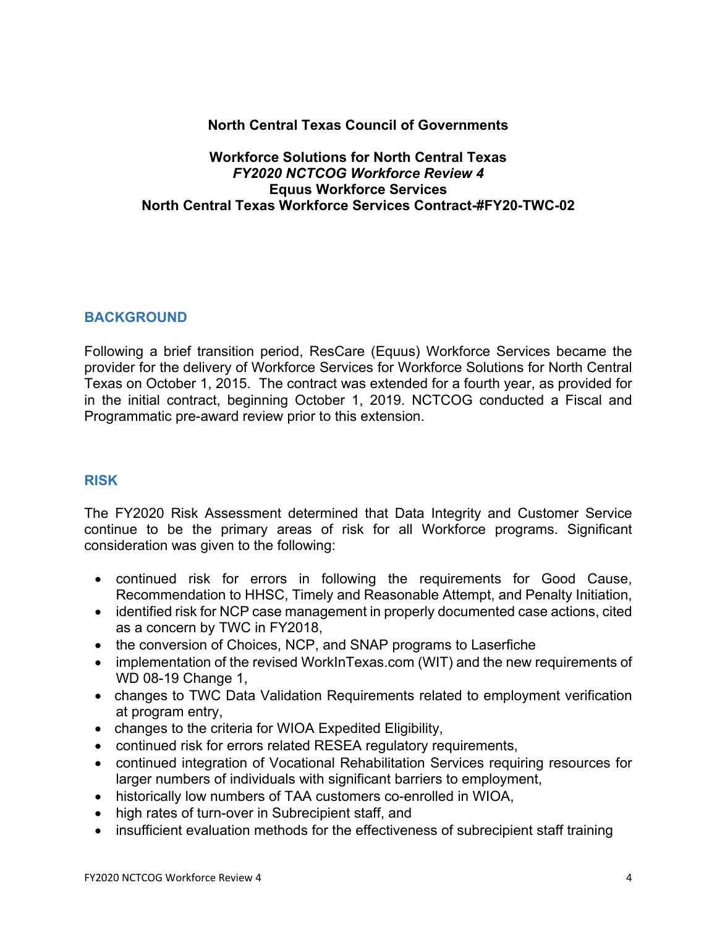### **North Central Texas Council of Governments**

#### **Workforce Solutions for North Central Texas** *FY2020 NCTCOG Workforce Review 4* **Equus Workforce Services North Central Texas Workforce Services Contract-#FY20-TWC-02**

#### **BACKGROUND**

Following a brief transition period, ResCare (Equus) Workforce Services became the provider for the delivery of Workforce Services for Workforce Solutions for North Central Texas on October 1, 2015. The contract was extended for a fourth year, as provided for in the initial contract, beginning October 1, 2019. NCTCOG conducted a Fiscal and Programmatic pre-award review prior to this extension.

#### **RISK**

The FY2020 Risk Assessment determined that Data Integrity and Customer Service continue to be the primary areas of risk for all Workforce programs. Significant consideration was given to the following:

- continued risk for errors in following the requirements for Good Cause, Recommendation to HHSC, Timely and Reasonable Attempt, and Penalty Initiation,
- identified risk for NCP case management in properly documented case actions, cited as a concern by TWC in FY2018,
- the conversion of Choices, NCP, and SNAP programs to Laserfiche
- implementation of the revised WorkInTexas.com (WIT) and the new requirements of WD 08-19 Change 1,
- changes to TWC Data Validation Requirements related to employment verification at program entry,
- changes to the criteria for WIOA Expedited Eligibility,
- continued risk for errors related RESEA regulatory requirements,
- continued integration of Vocational Rehabilitation Services requiring resources for larger numbers of individuals with significant barriers to employment,
- historically low numbers of TAA customers co-enrolled in WIOA,
- high rates of turn-over in Subrecipient staff, and
- insufficient evaluation methods for the effectiveness of subrecipient staff training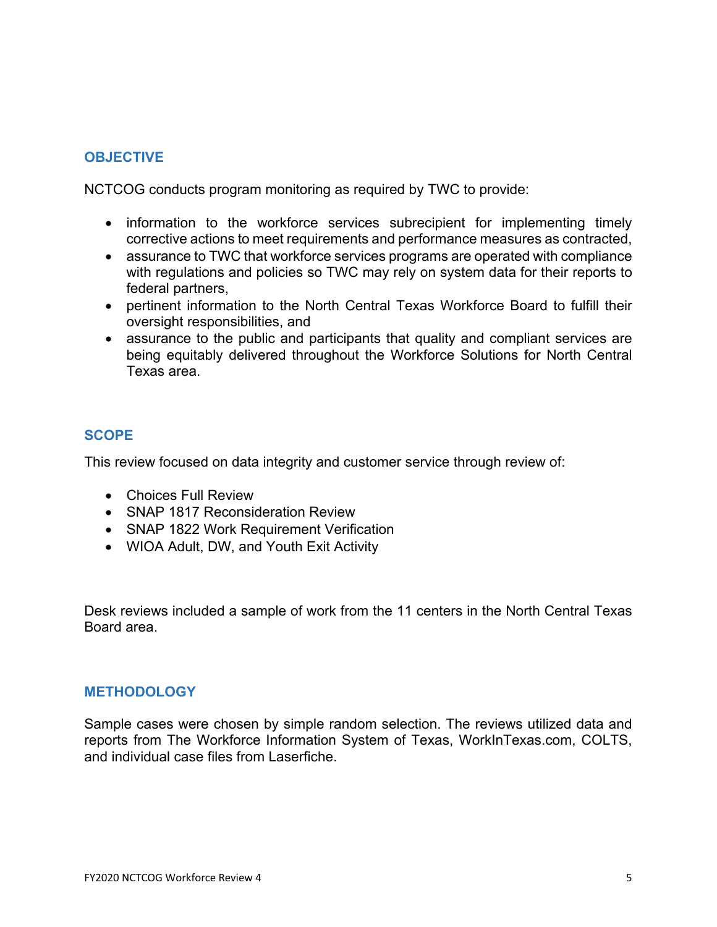## **OBJECTIVE**

NCTCOG conducts program monitoring as required by TWC to provide:

- information to the workforce services subrecipient for implementing timely corrective actions to meet requirements and performance measures as contracted,
- assurance to TWC that workforce services programs are operated with compliance with regulations and policies so TWC may rely on system data for their reports to federal partners,
- pertinent information to the North Central Texas Workforce Board to fulfill their oversight responsibilities, and
- assurance to the public and participants that quality and compliant services are being equitably delivered throughout the Workforce Solutions for North Central Texas area.

## **SCOPE**

This review focused on data integrity and customer service through review of:

- Choices Full Review
- SNAP 1817 Reconsideration Review
- SNAP 1822 Work Requirement Verification
- WIOA Adult, DW, and Youth Exit Activity

Desk reviews included a sample of work from the 11 centers in the North Central Texas Board area.

#### **METHODOLOGY**

Sample cases were chosen by simple random selection. The reviews utilized data and reports from The Workforce Information System of Texas, WorkInTexas.com, COLTS, and individual case files from Laserfiche.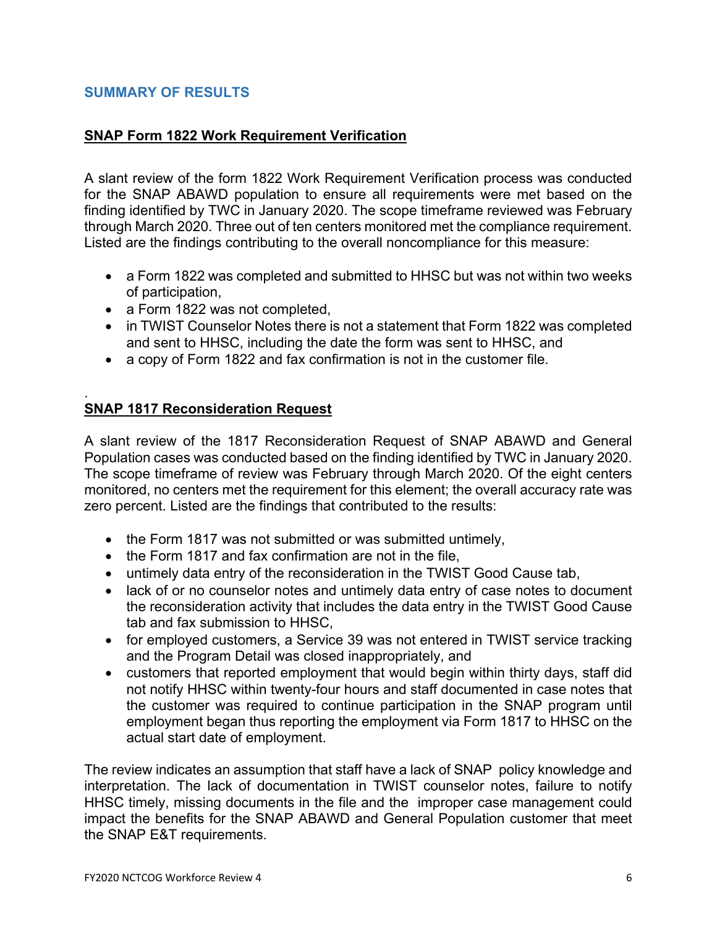### **SUMMARY OF RESULTS**

#### **SNAP Form 1822 Work Requirement Verification**

A slant review of the form 1822 Work Requirement Verification process was conducted for the SNAP ABAWD population to ensure all requirements were met based on the finding identified by TWC in January 2020. The scope timeframe reviewed was February through March 2020. Three out of ten centers monitored met the compliance requirement. Listed are the findings contributing to the overall noncompliance for this measure:

- a Form 1822 was completed and submitted to HHSC but was not within two weeks of participation,
- a Form 1822 was not completed,
- in TWIST Counselor Notes there is not a statement that Form 1822 was completed and sent to HHSC, including the date the form was sent to HHSC, and
- a copy of Form 1822 and fax confirmation is not in the customer file.

#### . **SNAP 1817 Reconsideration Request**

A slant review of the 1817 Reconsideration Request of SNAP ABAWD and General Population cases was conducted based on the finding identified by TWC in January 2020. The scope timeframe of review was February through March 2020. Of the eight centers monitored, no centers met the requirement for this element; the overall accuracy rate was zero percent. Listed are the findings that contributed to the results:

- the Form 1817 was not submitted or was submitted untimely,
- the Form 1817 and fax confirmation are not in the file,
- untimely data entry of the reconsideration in the TWIST Good Cause tab,
- lack of or no counselor notes and untimely data entry of case notes to document the reconsideration activity that includes the data entry in the TWIST Good Cause tab and fax submission to HHSC,
- for employed customers, a Service 39 was not entered in TWIST service tracking and the Program Detail was closed inappropriately, and
- customers that reported employment that would begin within thirty days, staff did not notify HHSC within twenty-four hours and staff documented in case notes that the customer was required to continue participation in the SNAP program until employment began thus reporting the employment via Form 1817 to HHSC on the actual start date of employment.

The review indicates an assumption that staff have a lack of SNAP policy knowledge and interpretation. The lack of documentation in TWIST counselor notes, failure to notify HHSC timely, missing documents in the file and the improper case management could impact the benefits for the SNAP ABAWD and General Population customer that meet the SNAP E&T requirements.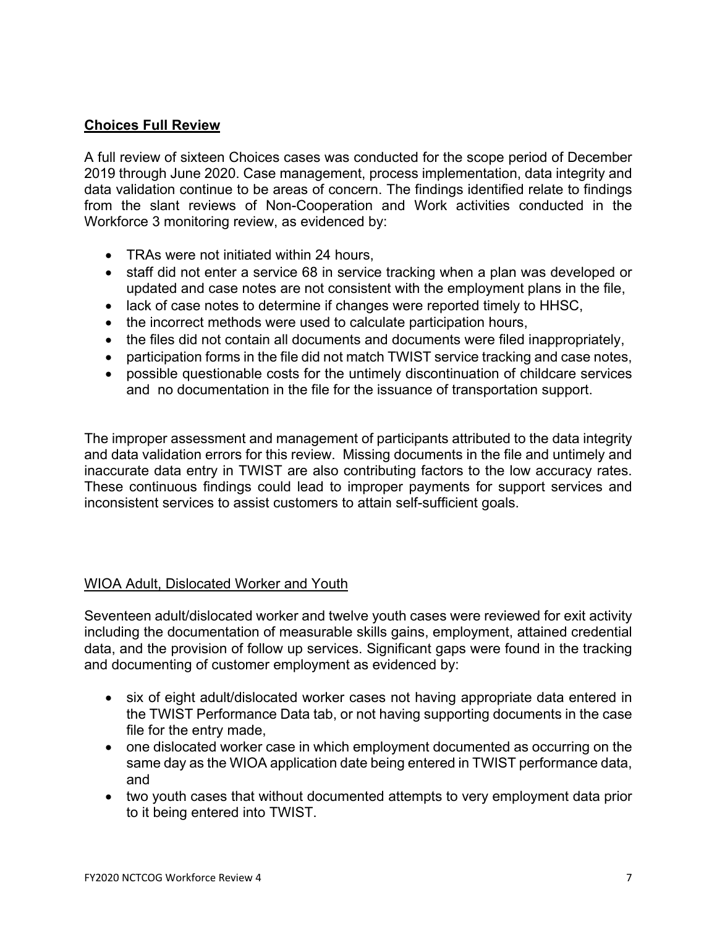## **Choices Full Review**

A full review of sixteen Choices cases was conducted for the scope period of December 2019 through June 2020. Case management, process implementation, data integrity and data validation continue to be areas of concern. The findings identified relate to findings from the slant reviews of Non-Cooperation and Work activities conducted in the Workforce 3 monitoring review, as evidenced by:

- TRAs were not initiated within 24 hours,
- staff did not enter a service 68 in service tracking when a plan was developed or updated and case notes are not consistent with the employment plans in the file,
- lack of case notes to determine if changes were reported timely to HHSC,
- the incorrect methods were used to calculate participation hours,
- the files did not contain all documents and documents were filed inappropriately,
- participation forms in the file did not match TWIST service tracking and case notes,
- possible questionable costs for the untimely discontinuation of childcare services and no documentation in the file for the issuance of transportation support.

The improper assessment and management of participants attributed to the data integrity and data validation errors for this review. Missing documents in the file and untimely and inaccurate data entry in TWIST are also contributing factors to the low accuracy rates. These continuous findings could lead to improper payments for support services and inconsistent services to assist customers to attain self-sufficient goals.

#### WIOA Adult, Dislocated Worker and Youth

Seventeen adult/dislocated worker and twelve youth cases were reviewed for exit activity including the documentation of measurable skills gains, employment, attained credential data, and the provision of follow up services. Significant gaps were found in the tracking and documenting of customer employment as evidenced by:

- six of eight adult/dislocated worker cases not having appropriate data entered in the TWIST Performance Data tab, or not having supporting documents in the case file for the entry made,
- one dislocated worker case in which employment documented as occurring on the same day as the WIOA application date being entered in TWIST performance data, and
- two youth cases that without documented attempts to very employment data prior to it being entered into TWIST.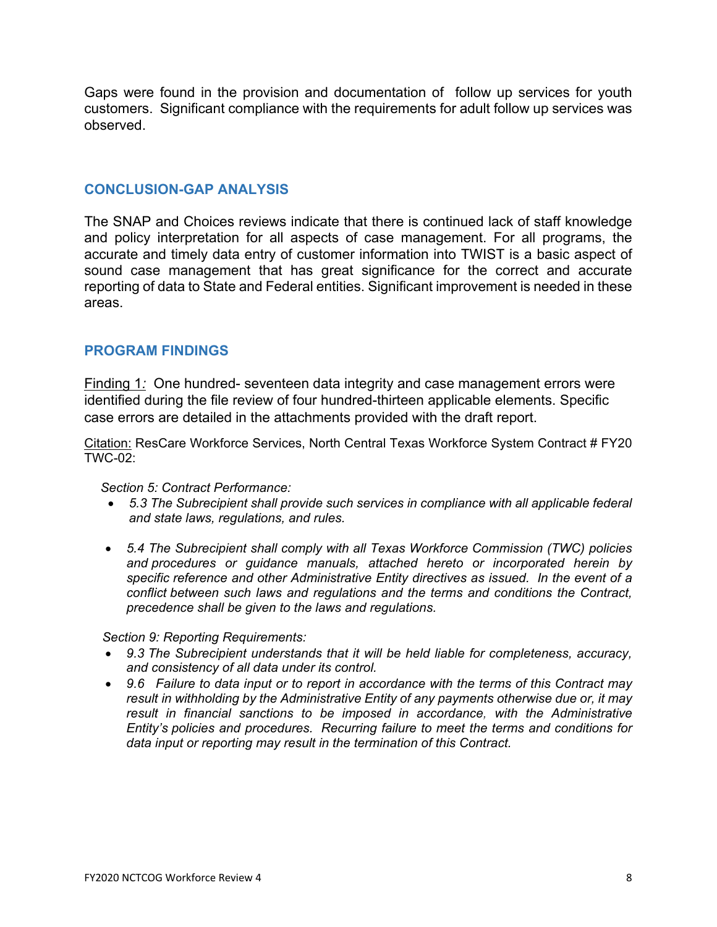Gaps were found in the provision and documentation of follow up services for youth customers. Significant compliance with the requirements for adult follow up services was observed.

#### **CONCLUSION-GAP ANALYSIS**

The SNAP and Choices reviews indicate that there is continued lack of staff knowledge and policy interpretation for all aspects of case management. For all programs, the accurate and timely data entry of customer information into TWIST is a basic aspect of sound case management that has great significance for the correct and accurate reporting of data to State and Federal entities. Significant improvement is needed in these areas.

#### **PROGRAM FINDINGS**

Finding 1*:* One hundred- seventeen data integrity and case management errors were identified during the file review of four hundred-thirteen applicable elements. Specific case errors are detailed in the attachments provided with the draft report.

Citation: ResCare Workforce Services, North Central Texas Workforce System Contract # FY20 TWC-02:

#### *Section 5: Contract Performance:*

- *5.3 The Subrecipient shall provide such services in compliance with all applicable federal and state laws, regulations, and rules.*
- *5.4 The Subrecipient shall comply with all Texas Workforce Commission (TWC) policies and procedures or guidance manuals, attached hereto or incorporated herein by specific reference and other Administrative Entity directives as issued. In the event of a conflict between such laws and regulations and the terms and conditions the Contract, precedence shall be given to the laws and regulations.*

 *Section 9: Reporting Requirements:*

- *9.3 The Subrecipient understands that it will be held liable for completeness, accuracy, and consistency of all data under its control.*
- *9.6 Failure to data input or to report in accordance with the terms of this Contract may result in withholding by the Administrative Entity of any payments otherwise due or, it may result in financial sanctions to be imposed in accordance, with the Administrative Entity's policies and procedures. Recurring failure to meet the terms and conditions for data input or reporting may result in the termination of this Contract.*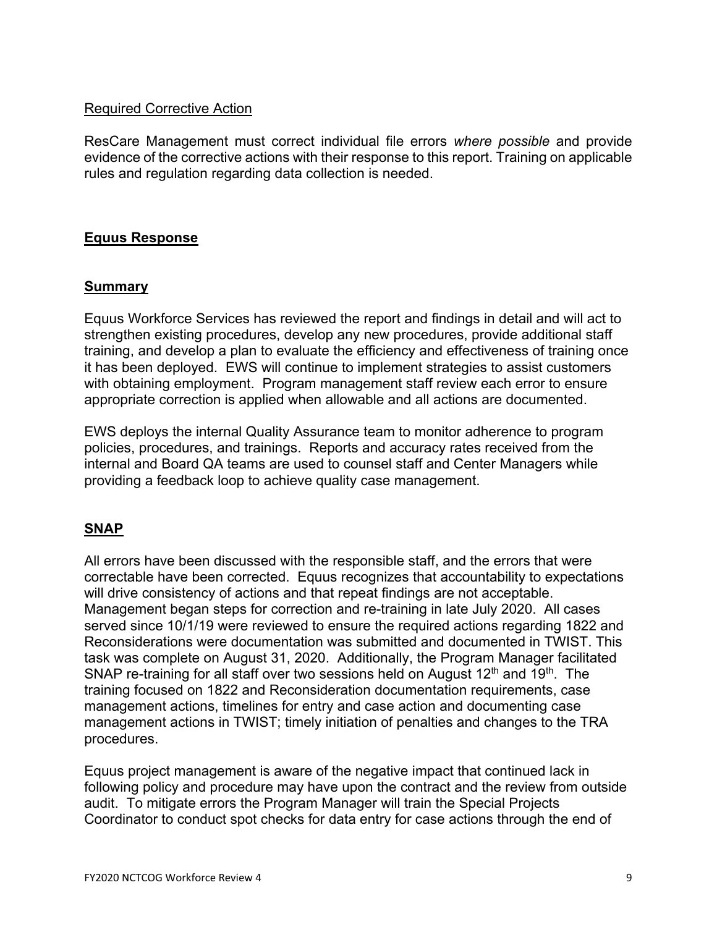#### Required Corrective Action

ResCare Management must correct individual file errors *where possible* and provide evidence of the corrective actions with their response to this report. Training on applicable rules and regulation regarding data collection is needed.

### **Equus Response**

#### **Summary**

Equus Workforce Services has reviewed the report and findings in detail and will act to strengthen existing procedures, develop any new procedures, provide additional staff training, and develop a plan to evaluate the efficiency and effectiveness of training once it has been deployed. EWS will continue to implement strategies to assist customers with obtaining employment. Program management staff review each error to ensure appropriate correction is applied when allowable and all actions are documented.

EWS deploys the internal Quality Assurance team to monitor adherence to program policies, procedures, and trainings. Reports and accuracy rates received from the internal and Board QA teams are used to counsel staff and Center Managers while providing a feedback loop to achieve quality case management.

## **SNAP**

All errors have been discussed with the responsible staff, and the errors that were correctable have been corrected. Equus recognizes that accountability to expectations will drive consistency of actions and that repeat findings are not acceptable. Management began steps for correction and re-training in late July 2020. All cases served since 10/1/19 were reviewed to ensure the required actions regarding 1822 and Reconsiderations were documentation was submitted and documented in TWIST. This task was complete on August 31, 2020. Additionally, the Program Manager facilitated SNAP re-training for all staff over two sessions held on August 12<sup>th</sup> and 19<sup>th</sup>. The training focused on 1822 and Reconsideration documentation requirements, case management actions, timelines for entry and case action and documenting case management actions in TWIST; timely initiation of penalties and changes to the TRA procedures.

Equus project management is aware of the negative impact that continued lack in following policy and procedure may have upon the contract and the review from outside audit. To mitigate errors the Program Manager will train the Special Projects Coordinator to conduct spot checks for data entry for case actions through the end of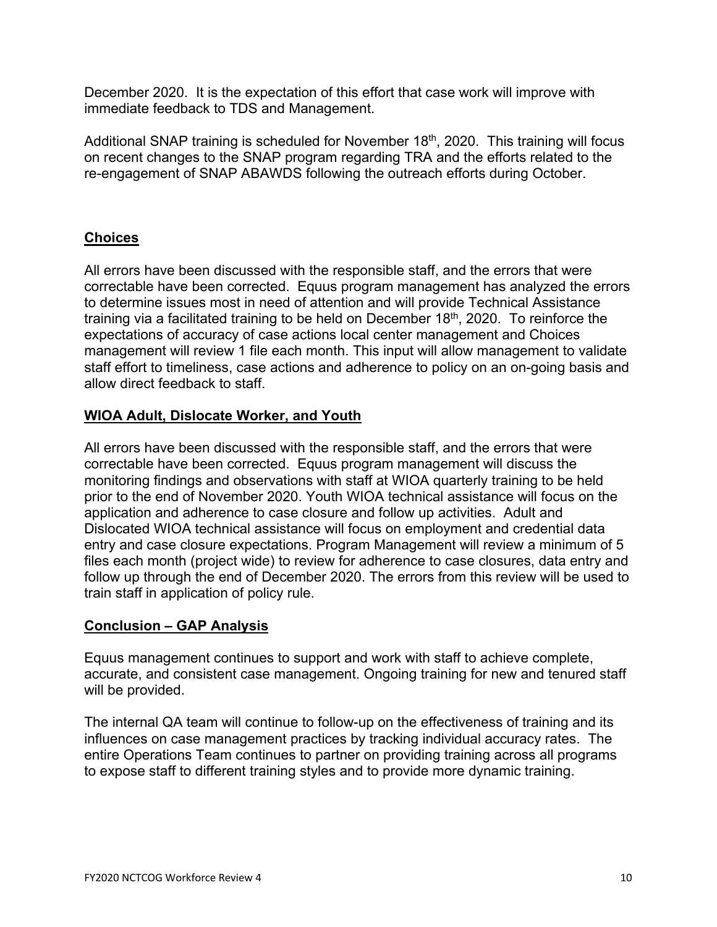December 2020. It is the expectation of this effort that case work will improve with immediate feedback to TDS and Management.

Additional SNAP training is scheduled for November 18<sup>th</sup>, 2020. This training will focus on recent changes to the SNAP program regarding TRA and the efforts related to the re-engagement of SNAP ABAWDS following the outreach efforts during October.

## **Choices**

All errors have been discussed with the responsible staff, and the errors that were correctable have been corrected. Equus program management has analyzed the errors to determine issues most in need of attention and will provide Technical Assistance training via a facilitated training to be held on December  $18<sup>th</sup>$ , 2020. To reinforce the expectations of accuracy of case actions local center management and Choices management will review 1 file each month. This input will allow management to validate staff effort to timeliness, case actions and adherence to policy on an on-going basis and allow direct feedback to staff.

## **WIOA Adult, Dislocate Worker, and Youth**

All errors have been discussed with the responsible staff, and the errors that were correctable have been corrected. Equus program management will discuss the monitoring findings and observations with staff at WIOA quarterly training to be held prior to the end of November 2020. Youth WIOA technical assistance will focus on the application and adherence to case closure and follow up activities. Adult and Dislocated WIOA technical assistance will focus on employment and credential data entry and case closure expectations. Program Management will review a minimum of 5 files each month (project wide) to review for adherence to case closures, data entry and follow up through the end of December 2020. The errors from this review will be used to train staff in application of policy rule.

#### **Conclusion – GAP Analysis**

Equus management continues to support and work with staff to achieve complete, accurate, and consistent case management. Ongoing training for new and tenured staff will be provided.

The internal QA team will continue to follow-up on the effectiveness of training and its influences on case management practices by tracking individual accuracy rates. The entire Operations Team continues to partner on providing training across all programs to expose staff to different training styles and to provide more dynamic training.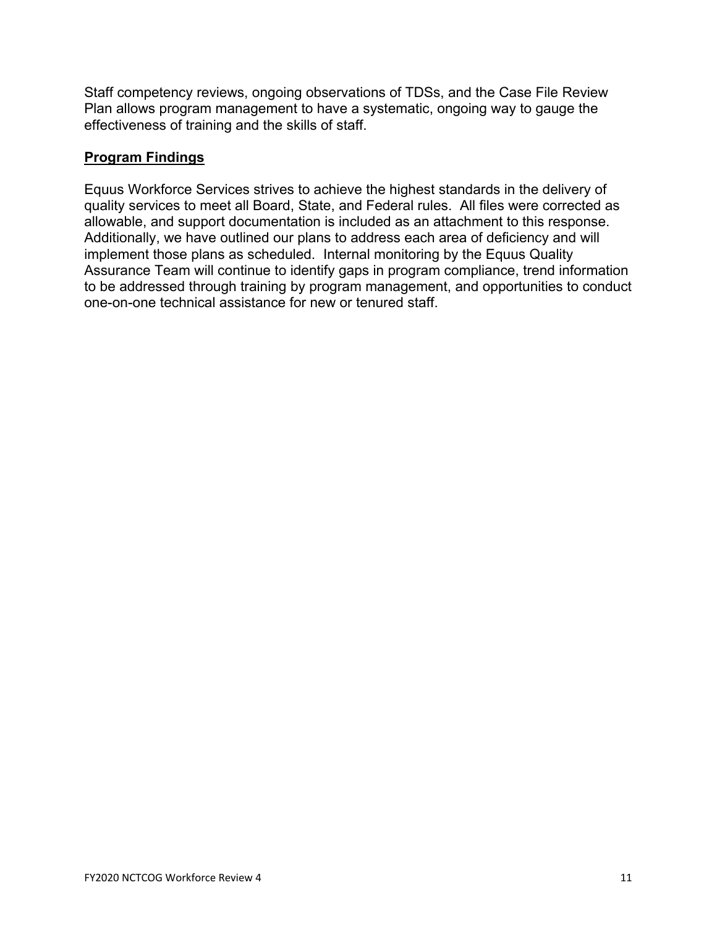Staff competency reviews, ongoing observations of TDSs, and the Case File Review Plan allows program management to have a systematic, ongoing way to gauge the effectiveness of training and the skills of staff.

## **Program Findings**

Equus Workforce Services strives to achieve the highest standards in the delivery of quality services to meet all Board, State, and Federal rules. All files were corrected as allowable, and support documentation is included as an attachment to this response. Additionally, we have outlined our plans to address each area of deficiency and will implement those plans as scheduled. Internal monitoring by the Equus Quality Assurance Team will continue to identify gaps in program compliance, trend information to be addressed through training by program management, and opportunities to conduct one-on-one technical assistance for new or tenured staff.